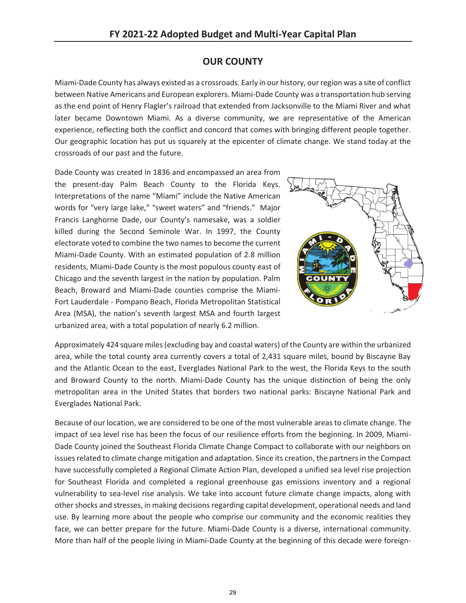## **OUR COUNTY**

Miami-Dade County has always existed as a crossroads. Early in our history, our region was a site of conflict between Native Americans and European explorers. Miami-Dade County was a transportation hub serving as the end point of Henry Flagler's railroad that extended from Jacksonville to the Miami River and what later became Downtown Miami. As a diverse community, we are representative of the American experience, reflecting both the conflict and concord that comes with bringing different people together. Our geographic location has put us squarely at the epicenter of climate change. We stand today at the crossroads of our past and the future.

Dade County was created in 1836 and encompassed an area from the present-day Palm Beach County to the Florida Keys. Interpretations of the name "Miami" include the Native American words for "very large lake," "sweet waters" and "friends." Major Francis Langhorne Dade, our County's namesake, was a soldier killed during the Second Seminole War. In 1997, the County electorate voted to combine the two names to become the current Miami-Dade County. With an estimated population of 2.8 million residents, Miami-Dade County is the most populous county east of Chicago and the seventh largest in the nation by population. Palm Beach, Broward and Miami-Dade counties comprise the Miami-Fort Lauderdale - Pompano Beach, Florida Metropolitan Statistical Area (MSA), the nation's seventh largest MSA and fourth largest urbanized area, with a total population of nearly 6.2 million.



Approximately 424 square miles (excluding bay and coastal waters) of the County are within the urbanized area, while the total county area currently covers a total of 2,431 square miles, bound by Biscayne Bay and the Atlantic Ocean to the east, Everglades National Park to the west, the Florida Keys to the south and Broward County to the north. Miami-Dade County has the unique distinction of being the only metropolitan area in the United States that borders two national parks: Biscayne National Park and Everglades National Park.

Because of our location, we are considered to be one of the most vulnerable areas to climate change. The impact of sea level rise has been the focus of our resilience efforts from the beginning. In 2009, Miami-Dade County joined the Southeast Florida Climate Change Compact to collaborate with our neighbors on issues related to climate change mitigation and adaptation. Since its creation, the partners in the Compact have successfully completed a Regional Climate Action Plan, developed a unified sea level rise projection for Southeast Florida and completed a regional greenhouse gas emissions inventory and a regional vulnerability to sea-level rise analysis. We take into account future climate change impacts, along with other shocks and stresses, in making decisions regarding capital development, operational needs and land use. By learning more about the people who comprise our community and the economic realities they face, we can better prepare for the future. Miami-Dade County is a diverse, international community. More than half of the people living in Miami-Dade County at the beginning of this decade were foreign-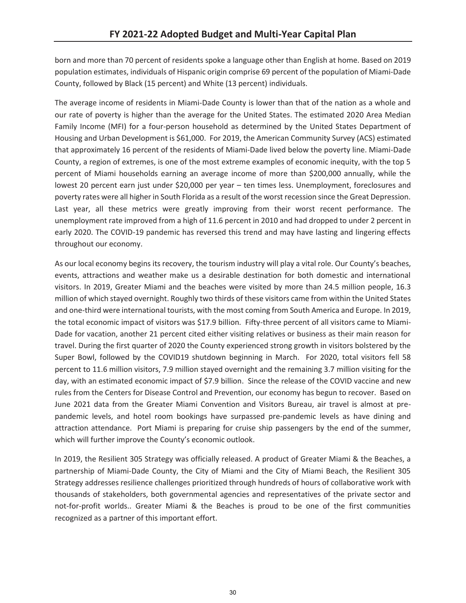born and more than 70 percent of residents spoke a language other than English at home. Based on 2019 population estimates, individuals of Hispanic origin comprise 69 percent of the population of Miami-Dade County, followed by Black (15 percent) and White (13 percent) individuals.

The average income of residents in Miami-Dade County is lower than that of the nation as a whole and our rate of poverty is higher than the average for the United States. The estimated 2020 Area Median Family Income (MFI) for a four-person household as determined by the United States Department of Housing and Urban Development is \$61,000. For 2019, the American Community Survey (ACS) estimated that approximately 16 percent of the residents of Miami-Dade lived below the poverty line. Miami-Dade County, a region of extremes, is one of the most extreme examples of economic inequity, with the top 5 percent of Miami households earning an average income of more than \$200,000 annually, while the lowest 20 percent earn just under \$20,000 per year – ten times less. Unemployment, foreclosures and poverty rates were all higher in South Florida as a result of the worst recession since the Great Depression. Last year, all these metrics were greatly improving from their worst recent performance. The unemployment rate improved from a high of 11.6 percent in 2010 and had dropped to under 2 percent in early 2020. The COVID-19 pandemic has reversed this trend and may have lasting and lingering effects throughout our economy.

As our local economy begins its recovery, the tourism industry will play a vital role. Our County's beaches, events, attractions and weather make us a desirable destination for both domestic and international visitors. In 2019, Greater Miami and the beaches were visited by more than 24.5 million people, 16.3 million of which stayed overnight. Roughly two thirds of these visitors came from within the United States and one-third were international tourists, with the most coming from South America and Europe. In 2019, the total economic impact of visitors was \$17.9 billion. Fifty-three percent of all visitors came to Miami-Dade for vacation, another 21 percent cited either visiting relatives or business as their main reason for travel. During the first quarter of 2020 the County experienced strong growth in visitors bolstered by the Super Bowl, followed by the COVID19 shutdown beginning in March. For 2020, total visitors fell 58 percent to 11.6 million visitors, 7.9 million stayed overnight and the remaining 3.7 million visiting for the day, with an estimated economic impact of \$7.9 billion. Since the release of the COVID vaccine and new rules from the Centers for Disease Control and Prevention, our economy has begun to recover. Based on June 2021 data from the Greater Miami Convention and Visitors Bureau, air travel is almost at prepandemic levels, and hotel room bookings have surpassed pre-pandemic levels as have dining and attraction attendance. Port Miami is preparing for cruise ship passengers by the end of the summer, which will further improve the County's economic outlook.

In 2019, the Resilient 305 Strategy was officially released. A product of Greater Miami & the Beaches, a partnership of Miami-Dade County, the City of Miami and the City of Miami Beach, the Resilient 305 Strategy addresses resilience challenges prioritized through hundreds of hours of collaborative work with thousands of stakeholders, both governmental agencies and representatives of the private sector and not-for-profit worlds.. Greater Miami & the Beaches is proud to be one of the first communities recognized as a partner of this important effort.